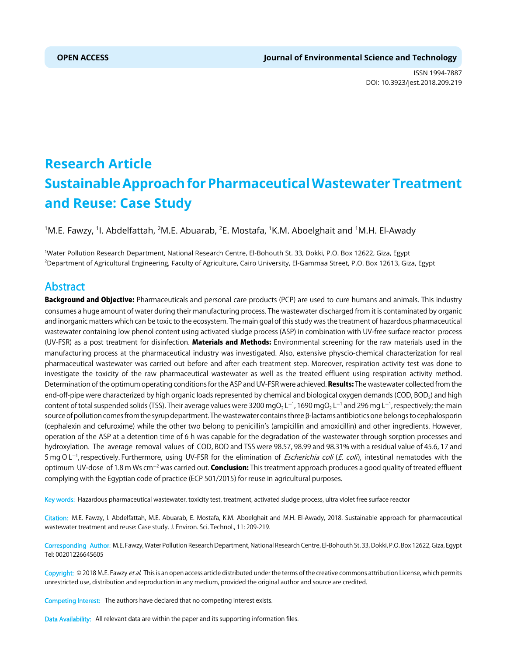ISSN 1994-7887 DOI: 10.3923/jest.2018.209.219



# **Research Article Sustainable Approach for Pharmaceutical Wastewater Treatment and Reuse: Case Study**

 $^{\rm 1}$ M.E. Fawzy,  $^{\rm 1}$ I. Abdelfattah,  $^{\rm 2}$ M.E. Abuarab,  $^{\rm 2}$ E. Mostafa,  $^{\rm 1}$ K.M. Aboelghait and  $^{\rm 1}$ M.H. El-Awady

1 Water Pollution Research Department, National Research Centre, El-Bohouth St. 33, Dokki, P.O. Box 12622, Giza, Egypt 2 Department of Agricultural Engineering, Faculty of Agriculture, Cairo University, El-Gammaa Street, P.O. Box 12613, Giza, Egypt

# Abstract

Background and Objective: Pharmaceuticals and personal care products (PCP) are used to cure humans and animals. This industry consumes a huge amount of water during their manufacturing process. The wastewater discharged from it is contaminated by organic and inorganic matters which can be toxic to the ecosystem. The main goal of this study was the treatment of hazardous pharmaceutical wastewater containing low phenol content using activated sludge process (ASP) in combination with UV-free surface reactor process (UV-FSR) as a post treatment for disinfection. Materials and Methods: Environmental screening for the raw materials used in the manufacturing process at the pharmaceutical industry was investigated. Also, extensive physcio-chemical characterization for real pharmaceutical wastewater was carried out before and after each treatment step. Moreover, respiration activity test was done to investigate the toxicity of the raw pharmaceutical wastewater as well as the treated effluent using respiration activity method. Determination of the optimum operating conditions for the ASP and UV-FSR were achieved. **Results:** The wastewater collected from the end-off-pipe were characterized by high organic loads represented by chemical and biological oxygen demands (COD, BOD<sub>5</sub>) and high content of total suspended solids (TSS). Their average values were 3200 mgO2 L<sup>-1</sup>, 1690 mgO2 L<sup>-1</sup> and 296 mg L<sup>-1</sup>, respectively; the main source of pollution comes from the syrup department. The wastewater contains three  $\beta$ -lactams antibiotics one belongs to cephalosporin (cephalexin and cefuroxime) while the other two belong to penicillin's (ampicillin and amoxicillin) and other ingredients. However, operation of the ASP at a detention time of 6 h was capable for the degradation of the wastewater through sorption processes and hydroxylation. The average removal values of COD, BOD and TSS were 98.57, 98.99 and 98.31% with a residual value of 45.6, 17 and 5 mg O L<sup>-1</sup>, respectively. Furthermore, using UV-FSR for the elimination of *Escherichia coli (E. coli*), intestinal nematodes with the optimum UV-dose of 1.8 m Ws cm<sup>-2</sup> was carried out. **Conclusion:** This treatment approach produces a good quality of treated effluent complying with the Egyptian code of practice (ECP 501/2015) for reuse in agricultural purposes.

Key words: Hazardous pharmaceutical wastewater, toxicity test, treatment, activated sludge process, ultra violet free surface reactor

Citation: M.E. Fawzy, I. Abdelfattah, M.E. Abuarab, E. Mostafa, K.M. Aboelghait and M.H. El-Awady, 2018. Sustainable approach for pharmaceutical wastewater treatment and reuse: Case study. J. Environ. Sci. Technol., 11: 209-219.

Corresponding Author: M.E. Fawzy, Water Pollution Research Department, National Research Centre, El-Bohouth St. 33, Dokki, P.O. Box 12622, Giza, Egypt Tel: 00201226645605

Copyright: © 2018 M.E. Fawzy et al. This is an open access article distributed under the terms of the creative commons attribution License, which permits unrestricted use, distribution and reproduction in any medium, provided the original author and source are credited.

Competing Interest: The authors have declared that no competing interest exists.

Data Availability: All relevant data are within the paper and its supporting information files.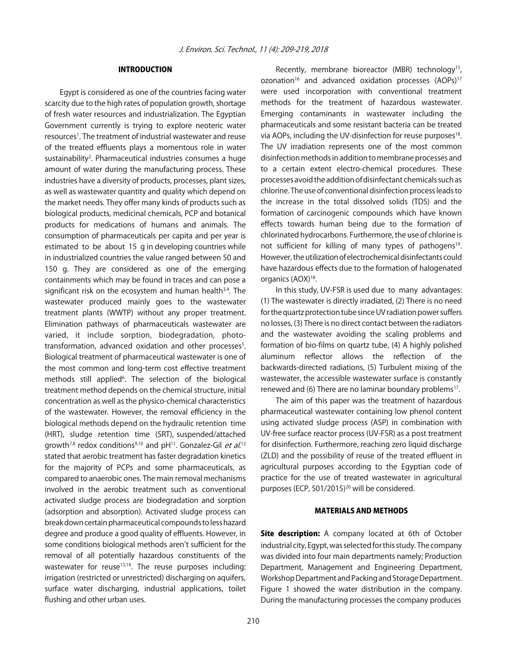# INTRODUCTION

Egypt is considered as one of the countries facing water scarcity due to the high rates of population growth, shortage of fresh water resources and industrialization. The Egyptian Government currently is trying to explore neoteric water resources<sup>1</sup>. The treatment of industrial wastewater and reuse of the treated effluents plays a momentous role in water sustainability<sup>2</sup>. Pharmaceutical industries consumes a huge amount of water during the manufacturing process. These industries have a diversity of products, processes, plant sizes, as well as wastewater quantity and quality which depend on the market needs. They offer many kinds of products such as biological products, medicinal chemicals, PCP and botanical products for medications of humans and animals. The consumption of pharmaceuticals per capita and per year is estimated to be about 15 g in developing countries while in industrialized countries the value ranged between 50 and 150 g. They are considered as one of the emerging containments which may be found in traces and can pose a significant risk on the ecosystem and human health<sup>3,4</sup>. The wastewater produced mainly goes to the wastewater treatment plants (WWTP) without any proper treatment. Elimination pathways of pharmaceuticals wastewater are varied, it include sorption, biodegradation, phototransformation, advanced oxidation and other processes<sup>5</sup>. Biological treatment of pharmaceutical wastewater is one of the most common and long-term cost effective treatment methods still applied<sup>6</sup>. The selection of the biological treatment method depends on the chemical structure, initial concentration as well as the physico-chemical characteristics of the wastewater. However, the removal efficiency in the biological methods depend on the hydraulic retention time (HRT), sludge retention time (SRT), suspended/attached growth<sup>7,8</sup> redox conditions<sup>9,10</sup> and pH<sup>11</sup>. Gonzalez-Gil *et al.*<sup>12</sup> stated that aerobic treatment has faster degradation kinetics for the majority of PCPs and some pharmaceuticals, as compared to anaerobic ones. The main removal mechanisms involved in the aerobic treatment such as conventional activated sludge process are biodegradation and sorption (adsorption and absorption). Activated sludge process can break down certain pharmaceutical compounds to less hazard degree and produce a good quality of effluents. However, in some conditions biological methods aren't sufficient for the removal of all potentially hazardous constituents of the wastewater for reuse<sup>13,14</sup>. The reuse purposes including: irrigation (restricted or unrestricted) discharging on aquifers, surface water discharging, industrial applications, toilet flushing and other urban uses.

Recently, membrane bioreactor (MBR) technology<sup>15</sup>, ozonation<sup>16</sup> and advanced oxidation processes  $(AOPs)^{17}$ were used incorporation with conventional treatment methods for the treatment of hazardous wastewater. Emerging contaminants in wastewater including the pharmaceuticals and some resistant bacteria can be treated via AOPs, including the UV-disinfection for reuse purposes<sup>18</sup>. The UV irradiation represents one of the most common disinfection methods in addition to membrane processes and to a certain extent electro-chemical procedures. These processes avoid the addition of disinfectant chemicals such as chlorine. The use of conventional disinfection process leads to the increase in the total dissolved solids (TDS) and the formation of carcinogenic compounds which have known effects towards human being due to the formation of chlorinated hydrocarbons. Furthermore, the use of chlorine is not sufficient for killing of many types of pathogens<sup>19</sup>. However, the utilization of electrochemical disinfectants could have hazardous effects due to the formation of halogenated organics (AOX)<sup>18</sup>.

In this study, UV-FSR is used due to many advantages: (1) The wastewater is directly irradiated, (2) There is no need for the quartz protection tube since UV radiation power suffers no losses, (3) There is no direct contact between the radiators and the wastewater avoiding the scaling problems and formation of bio-films on quartz tube, (4) A highly polished aluminum reflector allows the reflection of the backwards-directed radiations, (5) Turbulent mixing of the wastewater, the accessible wastewater surface is constantly renewed and (6) There are no laminar boundary problems<sup>17</sup>.

The aim of this paper was the treatment of hazardous pharmaceutical wastewater containing low phenol content using activated sludge process (ASP) in combination with UV-free surface reactor process (UV-FSR) as a post treatment for disinfection. Furthermore, reaching zero liquid discharge (ZLD) and the possibility of reuse of the treated effluent in agricultural purposes according to the Egyptian code of practice for the use of treated wastewater in agricultural purposes (ECP, 501/2015)<sup>20</sup> will be considered.

# MATERIALS AND METHODS

Site description: A company located at 6th of October industrial city, Egypt, was selected for this study. The company was divided into four main departments namely; Production Department, Management and Engineering Department, Workshop Department and Packing and Storage Department. Figure 1 showed the water distribution in the company. During the manufacturing processes the company produces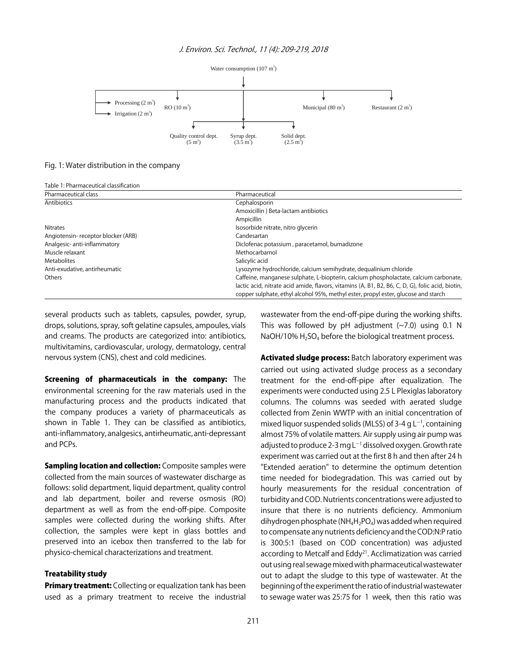

Fig. 1: Water distribution in the company

| Table 1: Pharmaceutical classification |                                                                                                  |  |  |  |  |  |  |
|----------------------------------------|--------------------------------------------------------------------------------------------------|--|--|--|--|--|--|
| Pharmaceutical class                   | Pharmaceutical                                                                                   |  |  |  |  |  |  |
| Antibiotics                            | Cephalosporin                                                                                    |  |  |  |  |  |  |
|                                        | Amoxicillin } Beta-lactam antibiotics                                                            |  |  |  |  |  |  |
|                                        | Ampicillin                                                                                       |  |  |  |  |  |  |
| <b>Nitrates</b>                        | Isosorbide nitrate, nitro glycerin                                                               |  |  |  |  |  |  |
| Angiotensin-receptor blocker (ARB)     | Candesartan                                                                                      |  |  |  |  |  |  |
| Analgesic-anti-inflammatory            | Diclofenac potassium, paracetamol, bumadizone                                                    |  |  |  |  |  |  |
| Muscle relaxant                        | Methocarbamol                                                                                    |  |  |  |  |  |  |
| Metabolites                            | Salicylic acid                                                                                   |  |  |  |  |  |  |
| Anti-exudative, antirheumatic          | Lysozyme hydrochloride, calcium semihydrate, dequalinium chloride                                |  |  |  |  |  |  |
| Others                                 | Caffeine, manganese sulphate, L-biopterin, calcium phospholactate, calcium carbonate,            |  |  |  |  |  |  |
|                                        | lactic acid, nitrate acid amide, flavors, vitamins (A, B1, B2, B6, C, D, G), folic acid, biotin, |  |  |  |  |  |  |
|                                        | copper sulphate, ethyl alcohol 95%, methyl ester, propyl ester, glucose and starch               |  |  |  |  |  |  |

several products such as tablets, capsules, powder, syrup, drops, solutions, spray, soft gelatine capsules, ampoules, vials and creams. The products are categorized into: antibiotics, multivitamins, cardiovascular, urology, dermatology, central nervous system (CNS), chest and cold medicines.

Screening of pharmaceuticals in the company: The environmental screening for the raw materials used in the manufacturing process and the products indicated that the company produces a variety of pharmaceuticals as shown in Table 1. They can be classified as antibiotics, anti-inflammatory, analgesics, antirheumatic, anti-depressant and PCPs.

**Sampling location and collection:** Composite samples were collected from the main sources of wastewater discharge as follows: solid department, liquid department, quality control and lab department, boiler and reverse osmosis (RO) department as well as from the end-off-pipe. Composite samples were collected during the working shifts. After collection, the samples were kept in glass bottles and preserved into an icebox then transferred to the lab for physico-chemical characterizations and treatment.

### Treatability study

**Primary treatment:** Collecting or equalization tank has been used as a primary treatment to receive the industrial wastewater from the end-off-pipe during the working shifts. This was followed by pH adjustment  $(-7.0)$  using 0.1 N NaOH/10%  $H_2$ SO<sub>4</sub> before the biological treatment process.

Activated sludge process: Batch laboratory experiment was carried out using activated sludge process as a secondary treatment for the end-off-pipe after equalization. The experiments were conducted using 2.5 L Plexiglas laboratory columns. The columns was seeded with aerated sludge collected from Zenin WWTP with an initial concentration of mixed liquor suspended solids (MLSS) of 3-4 g  $L^{-1}$ , containing almost 75% of volatile matters. Air supply using air pump was adjusted to produce 2-3 mg L $^{-1}$  dissolved oxygen. Growth rate experiment was carried out at the first 8 h and then after 24 h "Extended aeration" to determine the optimum detention time needed for biodegradation. This was carried out by hourly measurements for the residual concentration of turbidity and COD. Nutrients concentrations were adjusted to insure that there is no nutrients deficiency. Ammonium dihydrogen phosphate ( $NH_4H_2PO_4$ ) was added when required to compensate any nutrients deficiency and the COD:N:P ratio is 300:5:1 (based on COD concentration) was adjusted according to Metcalf and Eddy<sup>21</sup>. Acclimatization was carried out using real sewage mixed with pharmaceutical wastewater out to adapt the sludge to this type of wastewater. At the beginning of the experiment the ratio of industrial wastewater to sewage water was 25:75 for 1 week, then this ratio was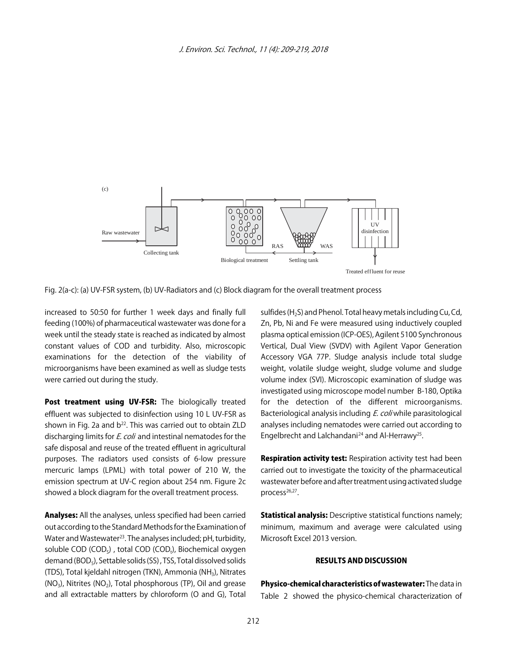

Fig. 2(a-c): (a) UV-FSR system, (b) UV-Radiators and (c) Block diagram for the overall treatment process

increased to 50:50 for further 1 week days and finally full feeding (100%) of pharmaceutical wastewater was done for a week until the steady state is reached as indicated by almost constant values of COD and turbidity. Also, microscopic examinations for the detection of the viability of microorganisms have been examined as well as sludge tests were carried out during the study.

Post treatment using UV-FSR: The biologically treated effluent was subjected to disinfection using 10 L UV-FSR as shown in Fig. 2a and  $b^{22}$ . This was carried out to obtain ZLD discharging limits for *E. coli* and intestinal nematodes for the safe disposal and reuse of the treated effluent in agricultural purposes. The radiators used consists of 6-low pressure mercuric lamps (LPML) with total power of 210 W, the emission spectrum at UV-C region about 254 nm. Figure 2c showed a block diagram for the overall treatment process.

Analyses: All the analyses, unless specified had been carried out according to the Standard Methods for the Examination of Water and Wastewater<sup>23</sup>. The analyses included; pH, turbidity, soluble COD (COD<sub>S</sub>), total COD (COD<sub>t</sub>), Biochemical oxygen demand (BOD<sub>5</sub>), Settable solids (SS), TSS, Total dissolved solids (TDS), Total kjeldahl nitrogen (TKN), Ammonia (NH3), Nitrates  $(NO<sub>3</sub>)$ , Nitrites  $(NO<sub>2</sub>)$ , Total phosphorous (TP), Oil and grease and all extractable matters by chloroform (O and G), Total

sulfides  $(H<sub>2</sub>S)$  and Phenol. Total heavy metals including Cu, Cd, Zn, Pb, Ni and Fe were measured using inductively coupled plasma optical emission (ICP-OES), Agilent 5100 Synchronous Vertical, Dual View (SVDV) with Agilent Vapor Generation Accessory VGA 77P. Sludge analysis include total sludge weight, volatile sludge weight, sludge volume and sludge volume index (SVI). Microscopic examination of sludge was investigated using microscope model number B-180, Optika for the detection of the different microorganisms. Bacteriological analysis including *E. coli* while parasitological analyses including nematodes were carried out according to Engelbrecht and Lalchandani<sup>24</sup> and Al-Herrawy<sup>25</sup>.

**Respiration activity test:** Respiration activity test had been carried out to investigate the toxicity of the pharmaceutical wastewater before and after treatment using activated sludge process<sup>26,27</sup>.

Statistical analysis: Descriptive statistical functions namely; minimum, maximum and average were calculated using Microsoft Excel 2013 version.

# RESULTS AND DISCUSSION

Physico-chemical characteristics of wastewater: The data in Table 2 showed the physico-chemical characterization of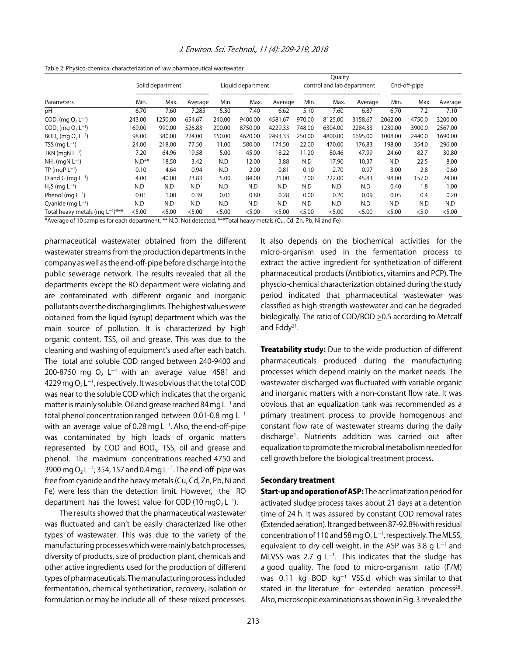| Parameters                              | Solid department<br>------------------------------------- |         |         | Liquid department |         |         |        | Quality<br>control and lab department | --------------------------------- |         | End-off-pipe |         |  |
|-----------------------------------------|-----------------------------------------------------------|---------|---------|-------------------|---------|---------|--------|---------------------------------------|-----------------------------------|---------|--------------|---------|--|
|                                         | Min.                                                      | Max.    | Average | Min.              | Max.    | Average | Min.   | Max.                                  | Average                           | Min.    | Max.         | Average |  |
| рH                                      | 6.70                                                      | 7.60    | 7.285   | 5.30              | 7.40    | 6.62    | 5.10   | 7.60                                  | 6.87                              | 6.70    | 7.2          | 7.10    |  |
| $CODt$ (mg $O2 L-1$ )                   | 243.00                                                    | 1250.00 | 654.67  | 240.00            | 9400.00 | 4581.67 | 970.00 | 8125.00                               | 3158.67                           | 2062.00 | 4750.0       | 3200.00 |  |
| $COD_{s}$ (mg $O_{2}$ L <sup>-1</sup> ) | 169.00                                                    | 990.00  | 526.83  | 200.00            | 8750.00 | 4229.33 | 748.00 | 6304.00                               | 2284.33                           | 1230.00 | 3900.0       | 2567.00 |  |
| $BOD5$ (mg $O2 L-1$ )                   | 98.00                                                     | 380.00  | 224.00  | 150.00            | 4620.00 | 2493.33 | 250.00 | 4800.00                               | 1695.00                           | 1008.00 | 2440.0       | 1690.00 |  |
| TSS (mg $L^{-1}$ )                      | 24.00                                                     | 218.00  | 77.50   | 11.00             | 580.00  | 174.50  | 22.00  | 470.00                                | 176.83                            | 198.00  | 354.0        | 296.00  |  |
| TKN (mgN $L^{-1}$ )                     | 7.20                                                      | 64.96   | 19.58   | 5.00              | 45.00   | 18.22   | 11.20  | 80.46                                 | 47.99                             | 24.60   | 82.7         | 30.80   |  |
| $NH3$ (mgN L <sup>-1</sup> )            | $N.D**$                                                   | 18.50   | 3.42    | N.D               | 12.00   | 3.88    | N.D    | 17.90                                 | 10.37                             | N.D     | 22.5         | 8.00    |  |
| $TP$ (mgP $L^{-1}$ )                    | 0.10                                                      | 4.64    | 0.94    | N.D               | 2.00    | 0.81    | 0.10   | 2.70                                  | 0.97                              | 3.00    | 2.8          | 0.60    |  |
| O and G (mg $L^{-1}$ )                  | 4.00                                                      | 40.00   | 23.83   | 5.00              | 84.00   | 21.00   | 2.00   | 222.00                                | 45.83                             | 98.00   | 157.0        | 24.00   |  |
| $H2S$ (mg $L-1$ )                       | N.D                                                       | N.D     | N.D     | N.D               | N.D     | N.D     | N.D    | N.D                                   | N.D                               | 0.40    | 1.8          | 1.00    |  |
| Phenol (mg $L^{-1}$ )                   | 0.01                                                      | 1.00    | 0.39    | 0.01              | 0.80    | 0.28    | 0.00   | 0.20                                  | 0.09                              | 0.05    | 0.4          | 0.20    |  |
| Cyanide (mg $L^{-1}$ )                  | N.D                                                       | N.D     | N.D     | N.D               | N.D     | N.D     | N.D    | N.D                                   | N.D                               | N.D     | N.D          | N.D     |  |
| Total heavy metals (mg $L^{-1}$ )***    | < 5.00                                                    | < 5.00  | < 5.00  | < 5.00            | < 5.00  | < 5.00  | < 5.00 | < 5.00                                | < 5.00                            | < 5.00  | < 5.0        | < 5.00  |  |

Table 2: Physico-chemical characterization of raw pharmaceutical wastewater

\*Average of 10 samples for each department, \*\* N.D: Not detected, \*\*\*Total heavy metals (Cu, Cd, Zn, Pb, Ni and Fe)

pharmaceutical wastewater obtained from the different wastewater streams from the production departments in the company as well as the end-off-pipe before discharge into the public sewerage network. The results revealed that all the departments except the RO department were violating and are contaminated with different organic and inorganic pollutants over the discharging limits. The highest values were obtained from the liquid (syrup) department which was the main source of pollution. It is characterized by high organic content, TSS, oil and grease. This was due to the cleaning and washing of equipment's used after each batch. The total and soluble COD ranged between 240-9400 and 200-8750 mg O<sub>2</sub> L<sup>-1</sup> with an average value 4581 and 4229 mg O $_2$  L $^{\text{-1}}$ , respectively. It was obvious that the total COD was near to the soluble COD which indicates that the organic matter is mainly soluble. Oil and grease reached 84 mg L<sup>-1</sup> and total phenol concentration ranged between 0.01-0.8 mg  $L^{-1}$ with an average value of 0.28 mg  $L^{-1}$ . Also, the end-off-pipe was contaminated by high loads of organic matters represented by COD and BOD<sub>5</sub>, TSS, oil and grease and phenol. The maximum concentrations reached 4750 and 3900 mg O<sub>2</sub> L<sup>-1</sup>; 354, 157 and 0.4 mg L<sup>-1</sup>. The end-off-pipe was free from cyanide and the heavy metals (Cu, Cd, Zn, Pb, Ni and Fe) were less than the detection limit. However, the RO department has the lowest value for COD (10 mgO<sub>2</sub> L<sup>-1</sup>).

The results showed that the pharmaceutical wastewater was fluctuated and can't be easily characterized like other types of wastewater. This was due to the variety of the manufacturing processes which were mainly batch processes, diversity of products, size of production plant, chemicals and other active ingredients used for the production of different types of pharmaceuticals. The manufacturing process included fermentation, chemical synthetization, recovery, isolation or formulation or may be include all of these mixed processes.

It also depends on the biochemical activities for the micro-organism used in the fermentation process to extract the active ingredient for synthetization of different pharmaceutical products (Antibiotics, vitamins and PCP). The physcio-chemical characterization obtained during the study period indicated that pharmaceutical wastewater was classified as high strength wastewater and can be degraded biologically. The ratio of COD/BOD > 0.5 according to Metcalf and Eddy21.

**Treatability study:** Due to the wide production of different pharmaceuticals produced during the manufacturing processes which depend mainly on the market needs. The wastewater discharged was fluctuated with variable organic and inorganic matters with a non-constant flow rate. It was obvious that an equalization tank was recommended as a primary treatment process to provide homogenous and constant flow rate of wastewater streams during the daily discharge1 . Nutrients addition was carried out after equalization to promote the microbial metabolism needed for cell growth before the biological treatment process.

#### Secondary treatment

Start-up and operation of ASP: The acclimatization period for activated sludge process takes about 21 days at a detention time of 24 h. It was assured by constant COD removal rates (Extended aeration). It ranged between 87-92.8% with residual concentration of 110 and 58 mg  $O_2 L^{-1}$ , respectively. The MLSS, equivalent to dry cell weight, in the ASP was 3.8 g  $L^{-1}$  and MLVSS was 2.7 g  $L^{-1}$ . This indicates that the sludge has a good quality. The food to micro-organism ratio (F/M) was 0.11 kg BOD  $kg^{-1}$  VSS.d which was similar to that stated in the literature for extended aeration process<sup>28</sup>. Also, microscopic examinations as shown in Fig. 3 revealed the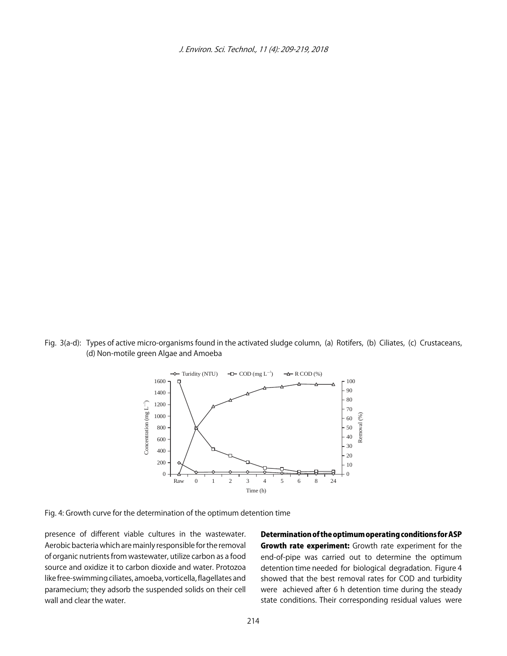![](_page_5_Figure_1.jpeg)

Fig. 3(a-d): Types of active micro-organisms found in the activated sludge column, (a) Rotifers, (b) Ciliates, (c) Crustaceans, (d) Non-motile green Algae and Amoeba

![](_page_5_Figure_3.jpeg)

Fig. 4: Growth curve for the determination of the optimum detention time

presence of different viable cultures in the wastewater. Aerobic bacteria which are mainly responsible for the removal of organic nutrients from wastewater, utilize carbon as a food source and oxidize it to carbon dioxide and water. Protozoa like free-swimming ciliates, amoeba, vorticella, flagellates and paramecium; they adsorb the suspended solids on their cell wall and clear the water.

Determination of the optimum operating conditions for ASP Growth rate experiment: Growth rate experiment for the end-of-pipe was carried out to determine the optimum detention time needed for biological degradation. Figure 4 showed that the best removal rates for COD and turbidity were achieved after 6 h detention time during the steady state conditions. Their corresponding residual values were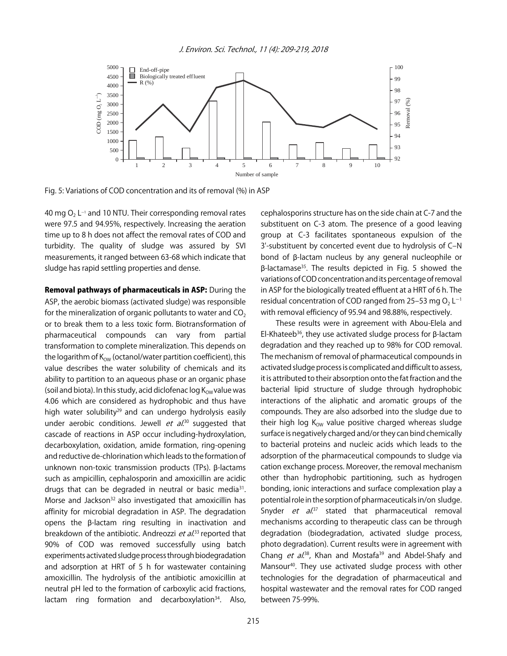![](_page_6_Figure_1.jpeg)

Fig. 5: Variations of COD concentration and its of removal (%) in ASP

40 mg O $_2$  L-1 and 10 NTU. Their corresponding removal rates were 97.5 and 94.95%, respectively. Increasing the aeration time up to 8 h does not affect the removal rates of COD and turbidity. The quality of sludge was assured by SVI measurements, it ranged between 63-68 which indicate that sludge has rapid settling properties and dense.

Removal pathways of pharmaceuticals in ASP: During the ASP, the aerobic biomass (activated sludge) was responsible for the mineralization of organic pollutants to water and  $CO<sub>2</sub>$ or to break them to a less toxic form. Biotransformation of pharmaceutical compounds can vary from partial transformation to complete mineralization. This depends on the logarithm of  $K_{OW}$  (octanol/water partition coefficient), this value describes the water solubility of chemicals and its ability to partition to an aqueous phase or an organic phase (soil and biota). In this study, acid diclofenac log  $K_{OW}$  value was 4.06 which are considered as hydrophobic and thus have high water solubility<sup>29</sup> and can undergo hydrolysis easily under aerobic conditions. Jewell *et al*.<sup>30</sup> suggested that cascade of reactions in ASP occur including-hydroxylation, decarboxylation, oxidation, amide formation, ring-opening and reductive de-chlorination which leads to the formation of unknown non-toxic transmission products (TPs). β-lactams such as ampicillin, cephalosporin and amoxicillin are acidic drugs that can be degraded in neutral or basic media<sup>31</sup>. Morse and Jackson<sup>32</sup> also investigated that amoxicillin has affinity for microbial degradation in ASP. The degradation opens the  $\beta$ -lactam ring resulting in inactivation and breakdown of the antibiotic. Andreozzi et al.<sup>33</sup> reported that 90% of COD was removed successfully using batch experiments activated sludge process through biodegradation and adsorption at HRT of 5 h for wastewater containing amoxicillin. The hydrolysis of the antibiotic amoxicillin at neutral pH led to the formation of carboxylic acid fractions, lactam ring formation and decarboxylation $34$ . Also, cephalosporins structure has on the side chain at C-7 and the substituent on C-3 atom. The presence of a good leaving group at C-3 facilitates spontaneous expulsion of the 3'-substituent by concerted event due to hydrolysis of C‒N bond of \$-lactam nucleus by any general nucleophile or  $\beta$ -lactamase<sup>35</sup>. The results depicted in Fig. 5 showed the variations of COD concentration and its percentage of removal in ASP for the biologically treated effluent at a HRT of 6 h. The residual concentration of COD ranged from 25-53 mg  $O<sub>2</sub> L<sup>-1</sup>$ with removal efficiency of 95.94 and 98.88%, respectively.

These results were in agreement with Abou-Elela and El-Khateeb<sup>36</sup>, they use activated sludge process for  $\beta$ -lactam degradation and they reached up to 98% for COD removal. The mechanism of removal of pharmaceutical compounds in activated sludge process is complicated and difficult to assess, it is attributed to their absorption onto the fat fraction and the bacterial lipid structure of sludge through hydrophobic interactions of the aliphatic and aromatic groups of the compounds. They are also adsorbed into the sludge due to their high log  $K_{OW}$  value positive charged whereas sludge surface is negatively charged and/or they can bind chemically to bacterial proteins and nucleic acids which leads to the adsorption of the pharmaceutical compounds to sludge via cation exchange process. Moreover, the removal mechanism other than hydrophobic partitioning, such as hydrogen bonding, ionic interactions and surface complexation play a potential role in the sorption of pharmaceuticals in/on sludge. Snyder et al.<sup>37</sup> stated that pharmaceutical removal mechanisms according to therapeutic class can be through degradation (biodegradation, activated sludge process, photo degradation). Current results were in agreement with Chang *et al.*<sup>38</sup>, Khan and Mostafa<sup>39</sup> and Abdel-Shafy and Mansour<sup>40</sup>. They use activated sludge process with other technologies for the degradation of pharmaceutical and hospital wastewater and the removal rates for COD ranged between 75-99%.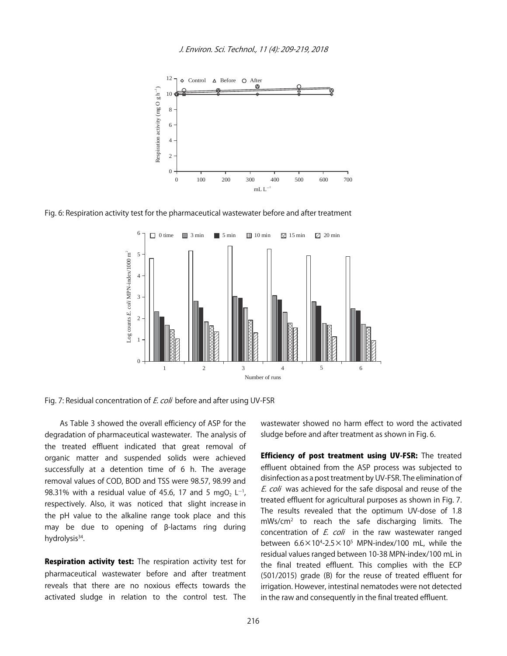![](_page_7_Figure_1.jpeg)

Fig. 6: Respiration activity test for the pharmaceutical wastewater before and after treatment

![](_page_7_Figure_3.jpeg)

![](_page_7_Figure_4.jpeg)

As Table 3 showed the overall efficiency of ASP for the degradation of pharmaceutical wastewater. The analysis of the treated effluent indicated that great removal of organic matter and suspended solids were achieved successfully at a detention time of 6 h. The average removal values of COD, BOD and TSS were 98.57, 98.99 and 98.31% with a residual value of 45.6, 17 and 5 mgO<sub>2</sub> L<sup>-1</sup>, respectively. Also, it was noticed that slight increase in the pH value to the alkaline range took place and this may be due to opening of  $\beta$ -lactams ring during hydrolysis<sup>34</sup>.

**Respiration activity test:** The respiration activity test for pharmaceutical wastewater before and after treatment reveals that there are no noxious effects towards the activated sludge in relation to the control test. The

wastewater showed no harm effect to word the activated sludge before and after treatment as shown in Fig. 6.

Efficiency of post treatment using UV-FSR: The treated effluent obtained from the ASP process was subjected to disinfection as a post treatment by UV-FSR. The elimination of E. coli was achieved for the safe disposal and reuse of the treated effluent for agricultural purposes as shown in Fig. 7. The results revealed that the optimum UV-dose of 1.8 mWs/cm2 to reach the safe discharging limits. The concentration of  $E$ . coli in the raw wastewater ranged between  $6.6\times10^{4}$ -2.5 $\times10^{5}$  MPN-index/100 mL, while the residual values ranged between 10-38 MPN-index/100 mL in the final treated effluent. This complies with the ECP (501/2015) grade (B) for the reuse of treated effluent for irrigation. However, intestinal nematodes were not detected in the raw and consequently in the final treated effluent.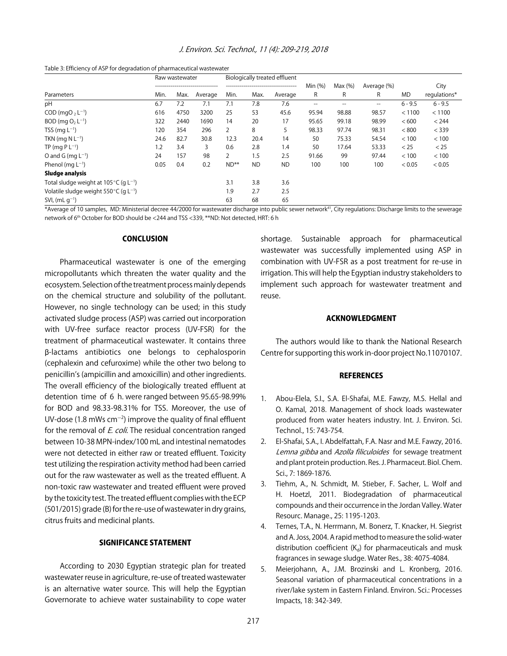| J. Environ. Sci. Technol., 11 (4): 209-219, 2018 |  |  |  |  |
|--------------------------------------------------|--|--|--|--|
|--------------------------------------------------|--|--|--|--|

|                                                             | Raw wastewater |      |         | Biologically treated effluent |           |                |         |          |             |           |              |
|-------------------------------------------------------------|----------------|------|---------|-------------------------------|-----------|----------------|---------|----------|-------------|-----------|--------------|
|                                                             |                |      |         |                               |           |                | Min (%) | Max(%)   | Average (%) |           | City         |
| Parameters                                                  | Min.           | Max. | Average | Min.                          | Max.      | Average        | R       | R        | R           | MD        | regulations* |
| pH                                                          | 6.7            | 7.2  | 7.1     | 7.1                           | 7.8       | 7.6            | $- -$   |          | --          | $6 - 9.5$ | $6 - 9.5$    |
| $COD$ (mgO, $L^{-1}$ )                                      | 616            | 4750 | 3200    | 25                            | 53        | 45.6           | 95.94   | 98.88    | 98.57       | < 1100    | < 1100       |
| $BOD$ (mg $O, L^{-1}$ )                                     | 322            | 2440 | 1690    | 14                            | 20        | 17             | 95.65   | 99.18    | 98.99       | < 600     | < 244        |
| TSS (mg $L^{-1}$ )                                          | 120            | 354  | 296     | $\overline{2}$                | 8         | 5              | 98.33   | 97.74    | 98.31       | < 800     | < 339        |
| TKN (mg $N L^{-1}$ )                                        | 24.6           | 82.7 | 30.8    | 12.3                          | 20.4      | 14             | 50      | 75.33    | 54.54       | < 100     | < 100        |
| TP (mg $PL^{-1}$ )                                          | 1.2            | 3.4  | 3       | 0.6                           | 2.8       | 1.4            | 50      | 17.64    | 53.33       | < 25      | < 25         |
| O and G (mg $L^{-1}$ )                                      | 24             | 157  | 98      | 2                             | 1.5       | 2.5            | 91.66   | 99       | 97.44       | < 100     | < 100        |
| Phenol ( $mq L^{-1}$ )                                      | 0.05           | 0.4  | 0.2     | $ND**$                        | <b>ND</b> | <b>ND</b>      | 100     | 100      | 100         | < 0.05    | < 0.05       |
| Sludge analysis                                             |                |      |         |                               |           |                |         |          |             |           |              |
| Total sludge weight at 105 $\degree$ C (g L <sup>-1</sup> ) |                |      |         | 3.1                           | 3.8       | 3.6            |         |          |             |           |              |
| Volatile sludge weight $550^{\circ}$ C (g L <sup>-1</sup> ) |                |      |         | 1.9                           | 2.7       | 2.5            |         |          |             |           |              |
| SVI, $(mL q^{-1})$<br>$\sim$ $\sim$ $\sim$                  | .              | .    |         | 63<br>$\cdots$                | 68        | 65<br>$\cdots$ |         | $\cdots$ | .<br>_ _ _  | $\cdots$  |              |

\*Average of 10 samples, MD: Ministerial decree 44/2000 for wastewater discharge into public sewer network<sup>41</sup>, City regulations: Discharge limits to the sewerage network of 6<sup>th</sup> October for BOD should be <244 and TSS <339, \*\*ND: Not detected, HRT: 6 h

#### **CONCLUSION**

Pharmaceutical wastewater is one of the emerging micropollutants which threaten the water quality and the ecosystem. Selection of the treatment process mainly depends on the chemical structure and solubility of the pollutant. However, no single technology can be used; in this study activated sludge process (ASP) was carried out incorporation with UV-free surface reactor process (UV-FSR) for the treatment of pharmaceutical wastewater. It contains three \$-lactams antibiotics one belongs to cephalosporin (cephalexin and cefuroxime) while the other two belong to penicillin's (ampicillin and amoxicillin) and other ingredients. The overall efficiency of the biologically treated effluent at detention time of 6 h. were ranged between 95.65-98.99% for BOD and 98.33-98.31% for TSS. Moreover, the use of UV-dose (1.8 mWs cm<sup>-2</sup>) improve the quality of final effluent for the removal of E. coli. The residual concentration ranged between 10-38 MPN-index/100 mL and intestinal nematodes were not detected in either raw or treated effluent. Toxicity test utilizing the respiration activity method had been carried out for the raw wastewater as well as the treated effluent. A non-toxic raw wastewater and treated effluent were proved by the toxicity test. The treated effluent complies with the ECP (501/2015) grade (B) for the re-use of wastewater in dry grains, citrus fruits and medicinal plants.

#### SIGNIFICANCE STATEMENT

According to 2030 Egyptian strategic plan for treated wastewater reuse in agriculture, re-use of treated wastewater is an alternative water source. This will help the Egyptian Governorate to achieve water sustainability to cope water shortage. Sustainable approach for pharmaceutical wastewater was successfully implemented using ASP in combination with UV-FSR as a post treatment for re-use in irrigation. This will help the Egyptian industry stakeholders to implement such approach for wastewater treatment and reuse.

#### ACKNOWLEDGMENT

The authors would like to thank the National Research Centre for supporting this work in-door project No.11070107.

#### **REFERENCES**

- 1. Abou-Elela, S.I., S.A. El-Shafai, M.E. Fawzy, M.S. Hellal and O. Kamal, 2018. Management of shock loads wastewater produced from water heaters industry. Int. J. Environ. Sci. Technol., 15: 743-754.
- 2. El-Shafai, S.A., I. Abdelfattah, F.A. Nasr and M.E. Fawzy, 2016. Lemna gibba and Azolla filiculoides for sewage treatment and plant protein production. Res. J. Pharmaceut. Biol. Chem. Sci., 7: 1869-1876.
- 3. Tiehm, A., N. Schmidt, M. Stieber, F. Sacher, L. Wolf and H. Hoetzl, 2011. Biodegradation of pharmaceutical compounds and their occurrence in the Jordan Valley. Water Resourc. Manage., 25: 1195-1203.
- 4. Ternes, T.A., N. Herrmann, M. Bonerz, T. Knacker, H. Siegrist and A. Joss, 2004. A rapid method to measure the solid-water distribution coefficient  $(K_d)$  for pharmaceuticals and musk fragrances in sewage sludge. Water Res., 38: 4075-4084.
- 5. Meierjohann, A., J.M. Brozinski and L. Kronberg, 2016. Seasonal variation of pharmaceutical concentrations in a river/lake system in Eastern Finland. Environ. Sci.: Processes Impacts, 18: 342-349.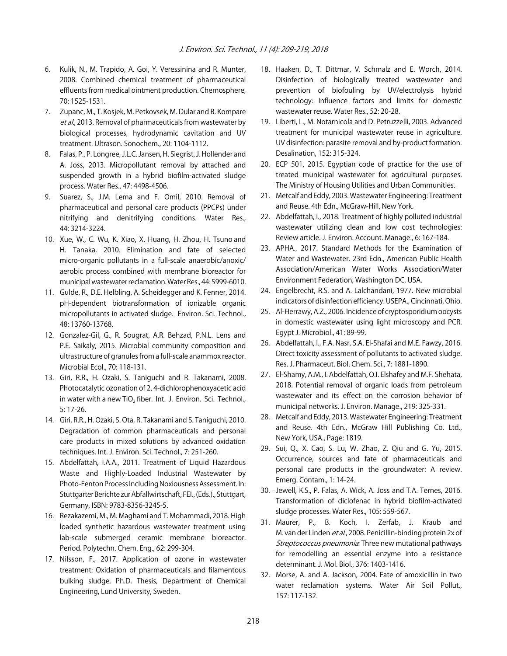- 6. Kulik, N., M. Trapido, A. Goi, Y. Veressinina and R. Munter, 2008. Combined chemical treatment of pharmaceutical effluents from medical ointment production. Chemosphere, 70: 1525-1531.
- 7. Zupanc, M., T. Kosjek, M. Petkovsek, M. Dular and B. Kompare et al., 2013. Removal of pharmaceuticals from wastewater by biological processes, hydrodynamic cavitation and UV treatment. Ultrason. Sonochem., 20: 1104-1112.
- 8. Falas, P., P. Longree, J.L.C. Jansen, H. Siegrist, J. Hollender and A. Joss, 2013. Micropollutant removal by attached and suspended growth in a hybrid biofilm-activated sludge process. Water Res., 47: 4498-4506.
- 9. Suarez, S., J.M. Lema and F. Omil, 2010. Removal of pharmaceutical and personal care products (PPCPs) under nitrifying and denitrifying conditions. Water Res., 44: 3214-3224.
- 10. Xue, W., C. Wu, K. Xiao, X. Huang, H. Zhou, H. Tsuno and H. Tanaka, 2010. Elimination and fate of selected micro-organic pollutants in a full-scale anaerobic/anoxic/ aerobic process combined with membrane bioreactor for municipal wastewater reclamation. Water Res., 44: 5999-6010.
- 11. Gulde, R., D.E. Helbling, A. Scheidegger and K. Fenner, 2014. pH-dependent biotransformation of ionizable organic micropollutants in activated sludge. Environ. Sci. Technol., 48: 13760-13768.
- 12. Gonzalez-Gil, G., R. Sougrat, A.R. Behzad, P.N.L. Lens and P.E. Saikaly, 2015. Microbial community composition and ultrastructure of granules from a full-scale anammox reactor. Microbial Ecol., 70: 118-131.
- 13. Giri, R.R., H. Ozaki, S. Taniguchi and R. Takanami, 2008. Photocatalytic ozonation of 2, 4-dichlorophenoxyacetic acid in water with a new TiO<sub>2</sub> fiber. Int. J. Environ. Sci. Technol., 5: 17-26.
- 14. Giri, R.R., H. Ozaki, S. Ota, R. Takanami and S. Taniguchi, 2010. Degradation of common pharmaceuticals and personal care products in mixed solutions by advanced oxidation techniques. Int. J. Environ. Sci. Technol., 7: 251-260.
- 15. Abdelfattah, I.A.A., 2011. Treatment of Liquid Hazardous Waste and Highly-Loaded Industrial Wastewater by Photo-Fenton Process Including Noxiousness Assessment. In: Stuttgarter Berichte zur Abfallwirtschaft, FEI., (Eds.)., Stuttgart, Germany, ISBN: 9783-8356-3245-5.
- 16. Rezakazemi, M., M. Maghami and T. Mohammadi, 2018. High loaded synthetic hazardous wastewater treatment using lab-scale submerged ceramic membrane bioreactor. Period. Polytechn. Chem. Eng., 62: 299-304.
- 17. Nilsson, F., 2017. Application of ozone in wastewater treatment: Oxidation of pharmaceuticals and filamentous bulking sludge. Ph.D. Thesis, Department of Chemical Engineering, Lund University, Sweden.
- 18. Haaken, D., T. Dittmar, V. Schmalz and E. Worch, 2014. Disinfection of biologically treated wastewater and prevention of biofouling by UV/electrolysis hybrid technology: Influence factors and limits for domestic wastewater reuse. Water Res., 52: 20-28.
- 19. Liberti, L., M. Notarnicola and D. Petruzzelli, 2003. Advanced treatment for municipal wastewater reuse in agriculture. UV disinfection: parasite removal and by-product formation. Desalination, 152: 315-324.
- 20. ECP 501, 2015. Egyptian code of practice for the use of treated municipal wastewater for agricultural purposes. The Ministry of Housing Utilities and Urban Communities.
- 21. Metcalf and Eddy, 2003. Wastewater Engineering: Treatment and Reuse. 4th Edn., McGraw-Hill, New York.
- 22. Abdelfattah, I., 2018. Treatment of highly polluted industrial wastewater utilizing clean and low cost technologies: Review article. J. Environ. Account. Manage., 6: 167-184.
- 23. APHA., 2017. Standard Methods for the Examination of Water and Wastewater. 23rd Edn., American Public Health Association/American Water Works Association/Water Environment Federation, Washington DC, USA.
- 24. Engelbrecht, R.S. and A. Lalchandani, 1977. New microbial indicators of disinfection efficiency. USEPA., Cincinnati, Ohio.
- 25. Al-Herrawy, A.Z., 2006. Incidence of cryptosporidium oocysts in domestic wastewater using light microscopy and PCR. Egypt J. Microbiol., 41: 89-99.
- 26. Abdelfattah, I., F.A. Nasr, S.A. El-Shafai and M.E. Fawzy, 2016. Direct toxicity assessment of pollutants to activated sludge. Res. J. Pharmaceut. Biol. Chem. Sci., 7: 1881-1890.
- 27. El-Shamy, A.M., I. Abdelfattah, O.I. Elshafey and M.F. Shehata, 2018. Potential removal of organic loads from petroleum wastewater and its effect on the corrosion behavior of municipal networks. J. Environ. Manage., 219: 325-331.
- 28. Metcalf and Eddy, 2013. Wastewater Engineering: Treatment and Reuse. 4th Edn., McGraw Hill Publishing Co. Ltd., New York, USA., Page: 1819.
- 29. Sui, Q., X. Cao, S. Lu, W. Zhao, Z. Qiu and G. Yu, 2015. Occurrence, sources and fate of pharmaceuticals and personal care products in the groundwater: A review. Emerg. Contam., 1: 14-24.
- 30. Jewell, K.S., P. Falas, A. Wick, A. Joss and T.A. Ternes, 2016. Transformation of diclofenac in hybrid biofilm-activated sludge processes. Water Res., 105: 559-567.
- 31. Maurer, P., B. Koch, I. Zerfab, J. Kraub and M. van der Linden et al., 2008. Penicillin-binding protein 2x of Streptococcus pneumonia. Three new mutational pathways for remodelling an essential enzyme into a resistance determinant. J. Mol. Biol., 376: 1403-1416.
- 32. Morse, A. and A. Jackson, 2004. Fate of amoxicillin in two water reclamation systems. Water Air Soil Pollut., 157: 117-132.